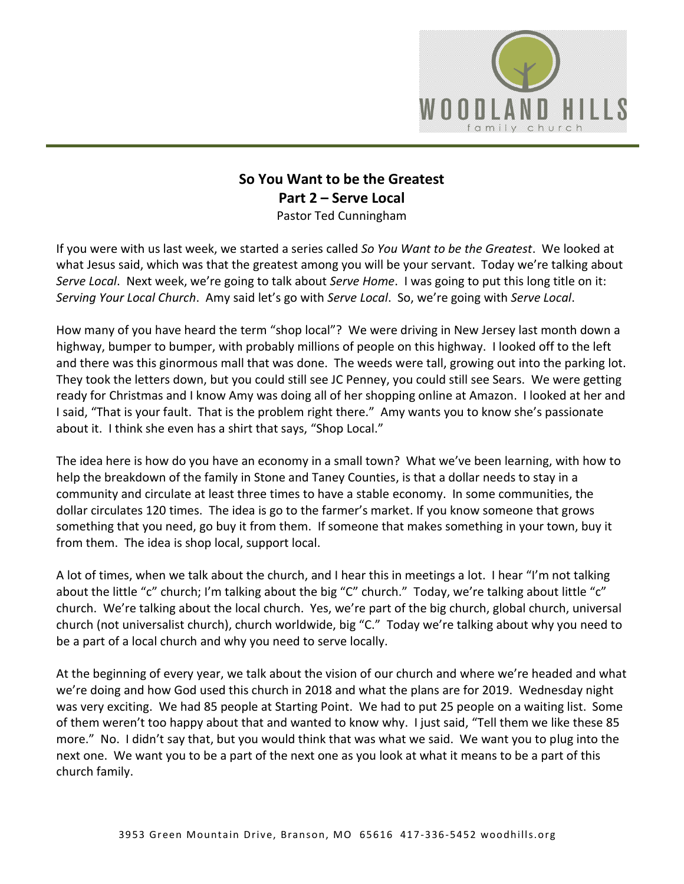

## **So You Want to be the Greatest Part 2 – Serve Local**  Pastor Ted Cunningham

If you were with us last week, we started a series called *So You Want to be the Greatest*. We looked at what Jesus said, which was that the greatest among you will be your servant. Today we're talking about *Serve Local*. Next week, we're going to talk about *Serve Home*. I was going to put this long title on it: *Serving Your Local Church*. Amy said let's go with *Serve Local*. So, we're going with *Serve Local*.

How many of you have heard the term "shop local"? We were driving in New Jersey last month down a highway, bumper to bumper, with probably millions of people on this highway. I looked off to the left and there was this ginormous mall that was done. The weeds were tall, growing out into the parking lot. They took the letters down, but you could still see JC Penney, you could still see Sears. We were getting ready for Christmas and I know Amy was doing all of her shopping online at Amazon. I looked at her and I said, "That is your fault. That is the problem right there." Amy wants you to know she's passionate about it. I think she even has a shirt that says, "Shop Local."

The idea here is how do you have an economy in a small town? What we've been learning, with how to help the breakdown of the family in Stone and Taney Counties, is that a dollar needs to stay in a community and circulate at least three times to have a stable economy. In some communities, the dollar circulates 120 times. The idea is go to the farmer's market. If you know someone that grows something that you need, go buy it from them. If someone that makes something in your town, buy it from them. The idea is shop local, support local.

A lot of times, when we talk about the church, and I hear this in meetings a lot. I hear "I'm not talking about the little "c" church; I'm talking about the big "C" church." Today, we're talking about little "c" church. We're talking about the local church. Yes, we're part of the big church, global church, universal church (not universalist church), church worldwide, big "C." Today we're talking about why you need to be a part of a local church and why you need to serve locally.

At the beginning of every year, we talk about the vision of our church and where we're headed and what we're doing and how God used this church in 2018 and what the plans are for 2019. Wednesday night was very exciting. We had 85 people at Starting Point. We had to put 25 people on a waiting list. Some of them weren't too happy about that and wanted to know why. I just said, "Tell them we like these 85 more." No. I didn't say that, but you would think that was what we said. We want you to plug into the next one. We want you to be a part of the next one as you look at what it means to be a part of this church family.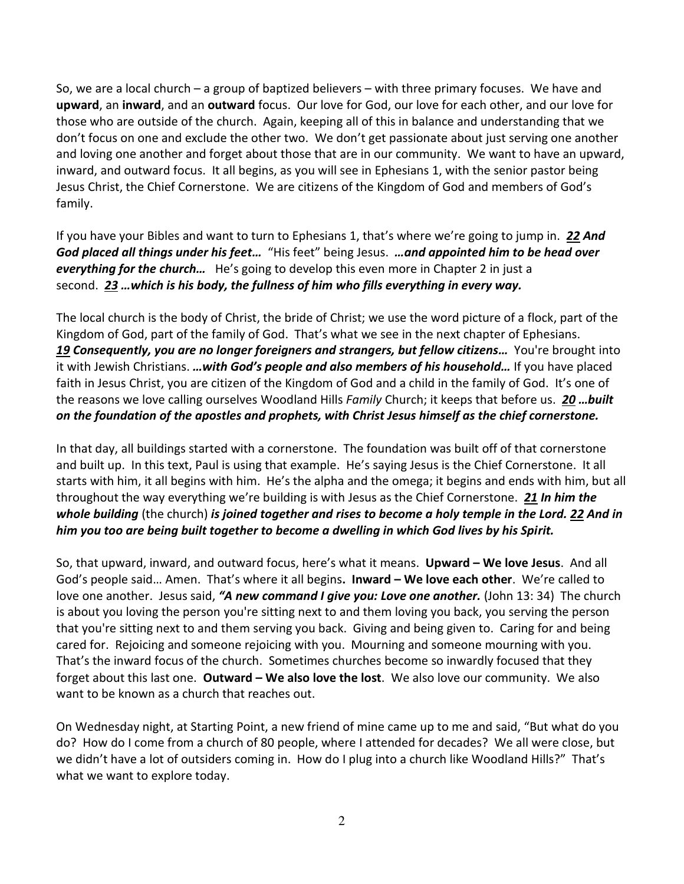So, we are a local church – a group of baptized believers – with three primary focuses. We have and **upward**, an **inward**, and an **outward** focus. Our love for God, our love for each other, and our love for those who are outside of the church. Again, keeping all of this in balance and understanding that we don't focus on one and exclude the other two. We don't get passionate about just serving one another and loving one another and forget about those that are in our community. We want to have an upward, inward, and outward focus. It all begins, as you will see in Ephesians 1, with the senior pastor being Jesus Christ, the Chief Cornerstone. We are citizens of the Kingdom of God and members of God's family.

If you have your Bibles and want to turn to Ephesians 1, that's where we're going to jump in. *[22](https://www.studylight.org/desk/?q=eph%201:22&t1=en_niv&sr=1) And God placed all things under his feet…* "His feet" being Jesus. *…and appointed him to be head over everything for the church…* He's going to develop this even more in Chapter 2 in just a second. *[23](https://www.studylight.org/desk/?q=eph%201:23&t1=en_niv&sr=1) …which is his body, the fullness of him who fills everything in every way.*

The local church is the body of Christ, the bride of Christ; we use the word picture of a flock, part of the Kingdom of God, part of the family of God. That's what we see in the next chapter of Ephesians. *[19](https://www.studylight.org/desk/?q=eph%202:19&t1=en_niv&sr=1) Consequently, you are no longer foreigners and strangers, but fellow citizens…* You're brought into it with Jewish Christians. *…with God's people and also members of his household…* If you have placed faith in Jesus Christ, you are citizen of the Kingdom of God and a child in the family of God. It's one of the reasons we love calling ourselves Woodland Hills *Family* Church; it keeps that before us. *[20](https://www.studylight.org/desk/?q=eph%202:20&t1=en_niv&sr=1) …built on the foundation of the apostles and prophets, with Christ Jesus himself as the chief cornerstone.*

In that day, all buildings started with a cornerstone. The foundation was built off of that cornerstone and built up. In this text, Paul is using that example. He's saying Jesus is the Chief Cornerstone. It all starts with him, it all begins with him. He's the alpha and the omega; it begins and ends with him, but all throughout the way everything we're building is with Jesus as the Chief Cornerstone. *[21](https://www.studylight.org/desk/?q=eph%202:21&t1=en_niv&sr=1) In him the whole building* (the church) *is joined together and rises to become a holy temple in the Lord. [22](https://www.studylight.org/desk/?q=eph%202:22&t1=en_niv&sr=1) And in him you too are being built together to become a dwelling in which God lives by his Spirit.* 

So, that upward, inward, and outward focus, here's what it means. **Upward – We love Jesus**. And all God's people said… Amen. That's where it all begins**. Inward – We love each other**. We're called to love one another. Jesus said, *"A new command I give you: Love one another.* (John 13: 34) The church is about you loving the person you're sitting next to and them loving you back, you serving the person that you're sitting next to and them serving you back. Giving and being given to. Caring for and being cared for. Rejoicing and someone rejoicing with you. Mourning and someone mourning with you. That's the inward focus of the church. Sometimes churches become so inwardly focused that they forget about this last one. **Outward – We also love the lost**. We also love our community. We also want to be known as a church that reaches out.

On Wednesday night, at Starting Point, a new friend of mine came up to me and said, "But what do you do? How do I come from a church of 80 people, where I attended for decades? We all were close, but we didn't have a lot of outsiders coming in. How do I plug into a church like Woodland Hills?" That's what we want to explore today.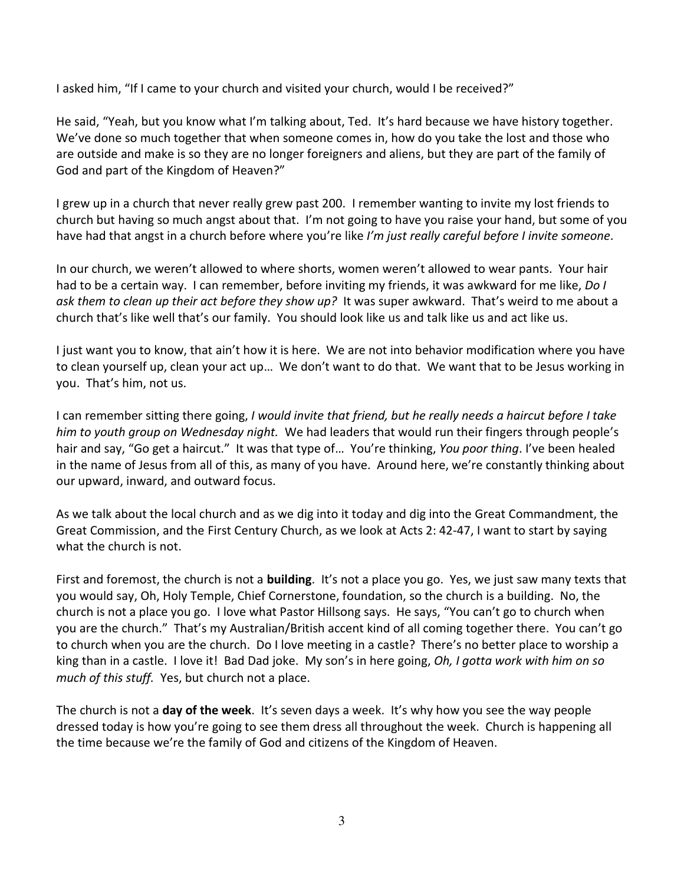I asked him, "If I came to your church and visited your church, would I be received?"

He said, "Yeah, but you know what I'm talking about, Ted. It's hard because we have history together. We've done so much together that when someone comes in, how do you take the lost and those who are outside and make is so they are no longer foreigners and aliens, but they are part of the family of God and part of the Kingdom of Heaven?"

I grew up in a church that never really grew past 200. I remember wanting to invite my lost friends to church but having so much angst about that. I'm not going to have you raise your hand, but some of you have had that angst in a church before where you're like *I'm just really careful before I invite someone*.

In our church, we weren't allowed to where shorts, women weren't allowed to wear pants. Your hair had to be a certain way. I can remember, before inviting my friends, it was awkward for me like, *Do I ask them to clean up their act before they show up?* It was super awkward. That's weird to me about a church that's like well that's our family. You should look like us and talk like us and act like us.

I just want you to know, that ain't how it is here. We are not into behavior modification where you have to clean yourself up, clean your act up… We don't want to do that. We want that to be Jesus working in you. That's him, not us.

I can remember sitting there going, *I would invite that friend, but he really needs a haircut before I take him to youth group on Wednesday night.* We had leaders that would run their fingers through people's hair and say, "Go get a haircut." It was that type of… You're thinking, *You poor thing*. I've been healed in the name of Jesus from all of this, as many of you have. Around here, we're constantly thinking about our upward, inward, and outward focus.

As we talk about the local church and as we dig into it today and dig into the Great Commandment, the Great Commission, and the First Century Church, as we look at Acts 2: 42-47, I want to start by saying what the church is not.

First and foremost, the church is not a **building**. It's not a place you go. Yes, we just saw many texts that you would say, Oh, Holy Temple, Chief Cornerstone, foundation, so the church is a building. No, the church is not a place you go. I love what Pastor Hillsong says. He says, "You can't go to church when you are the church." That's my Australian/British accent kind of all coming together there. You can't go to church when you are the church. Do I love meeting in a castle? There's no better place to worship a king than in a castle. I love it! Bad Dad joke. My son's in here going, *Oh, I gotta work with him on so much of this stuff.* Yes, but church not a place.

The church is not a **day of the week**. It's seven days a week. It's why how you see the way people dressed today is how you're going to see them dress all throughout the week. Church is happening all the time because we're the family of God and citizens of the Kingdom of Heaven.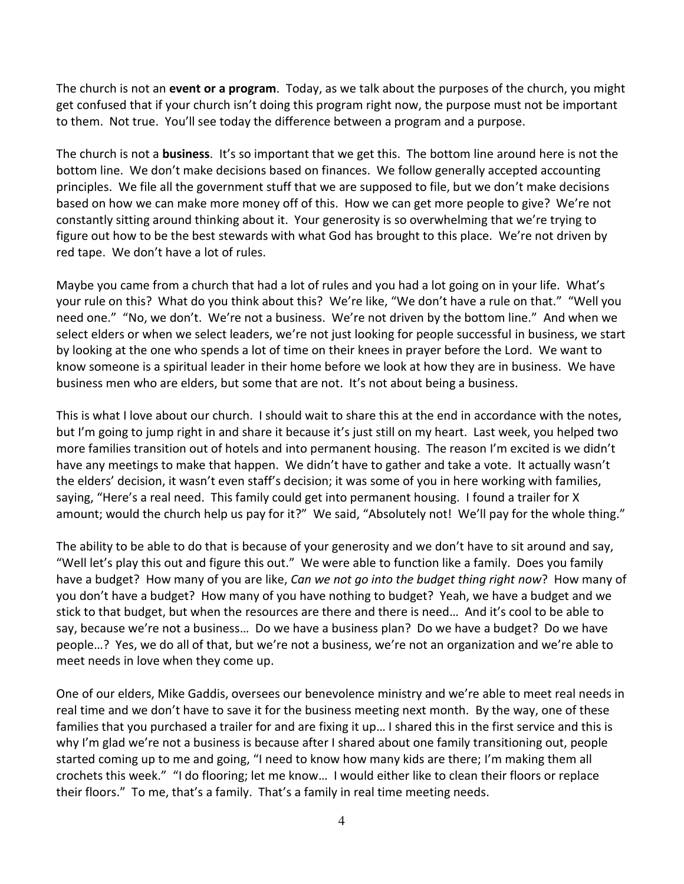The church is not an **event or a program**. Today, as we talk about the purposes of the church, you might get confused that if your church isn't doing this program right now, the purpose must not be important to them. Not true. You'll see today the difference between a program and a purpose.

The church is not a **business**. It's so important that we get this. The bottom line around here is not the bottom line. We don't make decisions based on finances. We follow generally accepted accounting principles. We file all the government stuff that we are supposed to file, but we don't make decisions based on how we can make more money off of this. How we can get more people to give? We're not constantly sitting around thinking about it. Your generosity is so overwhelming that we're trying to figure out how to be the best stewards with what God has brought to this place. We're not driven by red tape. We don't have a lot of rules.

Maybe you came from a church that had a lot of rules and you had a lot going on in your life. What's your rule on this? What do you think about this? We're like, "We don't have a rule on that." "Well you need one." "No, we don't. We're not a business. We're not driven by the bottom line." And when we select elders or when we select leaders, we're not just looking for people successful in business, we start by looking at the one who spends a lot of time on their knees in prayer before the Lord. We want to know someone is a spiritual leader in their home before we look at how they are in business. We have business men who are elders, but some that are not. It's not about being a business.

This is what I love about our church. I should wait to share this at the end in accordance with the notes, but I'm going to jump right in and share it because it's just still on my heart. Last week, you helped two more families transition out of hotels and into permanent housing. The reason I'm excited is we didn't have any meetings to make that happen. We didn't have to gather and take a vote. It actually wasn't the elders' decision, it wasn't even staff's decision; it was some of you in here working with families, saying, "Here's a real need. This family could get into permanent housing. I found a trailer for X amount; would the church help us pay for it?" We said, "Absolutely not! We'll pay for the whole thing."

The ability to be able to do that is because of your generosity and we don't have to sit around and say, "Well let's play this out and figure this out." We were able to function like a family. Does you family have a budget? How many of you are like, *Can we not go into the budget thing right now*? How many of you don't have a budget? How many of you have nothing to budget? Yeah, we have a budget and we stick to that budget, but when the resources are there and there is need… And it's cool to be able to say, because we're not a business… Do we have a business plan? Do we have a budget? Do we have people…? Yes, we do all of that, but we're not a business, we're not an organization and we're able to meet needs in love when they come up.

One of our elders, Mike Gaddis, oversees our benevolence ministry and we're able to meet real needs in real time and we don't have to save it for the business meeting next month. By the way, one of these families that you purchased a trailer for and are fixing it up… I shared this in the first service and this is why I'm glad we're not a business is because after I shared about one family transitioning out, people started coming up to me and going, "I need to know how many kids are there; I'm making them all crochets this week." "I do flooring; let me know… I would either like to clean their floors or replace their floors." To me, that's a family. That's a family in real time meeting needs.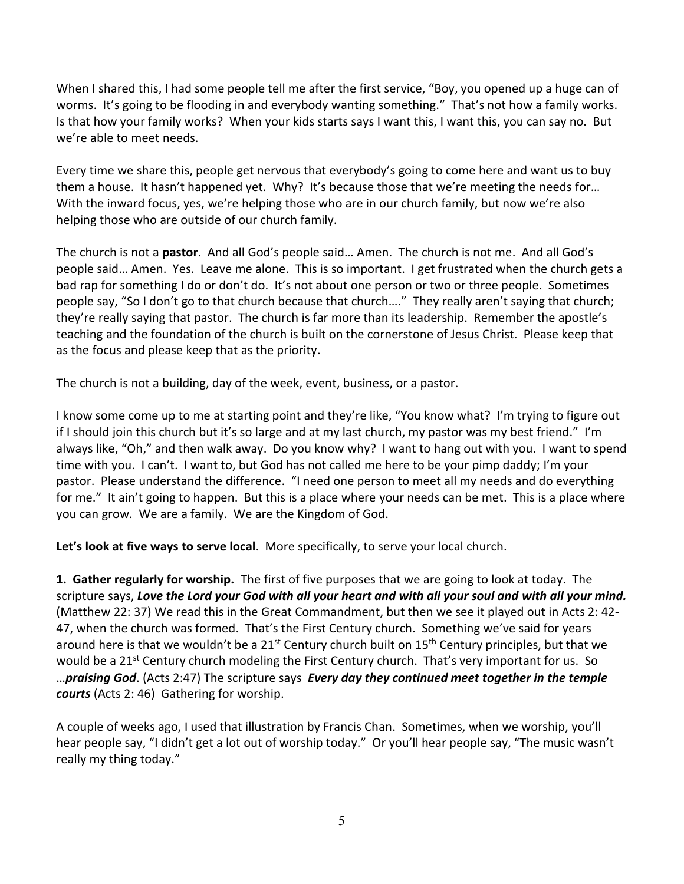When I shared this, I had some people tell me after the first service, "Boy, you opened up a huge can of worms. It's going to be flooding in and everybody wanting something." That's not how a family works. Is that how your family works? When your kids starts says I want this, I want this, you can say no. But we're able to meet needs.

Every time we share this, people get nervous that everybody's going to come here and want us to buy them a house. It hasn't happened yet. Why? It's because those that we're meeting the needs for… With the inward focus, yes, we're helping those who are in our church family, but now we're also helping those who are outside of our church family.

The church is not a **pastor**. And all God's people said… Amen. The church is not me. And all God's people said… Amen. Yes. Leave me alone. This is so important. I get frustrated when the church gets a bad rap for something I do or don't do. It's not about one person or two or three people. Sometimes people say, "So I don't go to that church because that church…." They really aren't saying that church; they're really saying that pastor. The church is far more than its leadership. Remember the apostle's teaching and the foundation of the church is built on the cornerstone of Jesus Christ. Please keep that as the focus and please keep that as the priority.

The church is not a building, day of the week, event, business, or a pastor.

I know some come up to me at starting point and they're like, "You know what? I'm trying to figure out if I should join this church but it's so large and at my last church, my pastor was my best friend." I'm always like, "Oh," and then walk away. Do you know why? I want to hang out with you. I want to spend time with you. I can't. I want to, but God has not called me here to be your pimp daddy; I'm your pastor. Please understand the difference. "I need one person to meet all my needs and do everything for me." It ain't going to happen. But this is a place where your needs can be met. This is a place where you can grow. We are a family. We are the Kingdom of God.

**Let's look at five ways to serve local**. More specifically, to serve your local church.

**1. Gather regularly for worship.** The first of five purposes that we are going to look at today. The scripture says, *Love the Lord your God with all your heart and with all your soul and with all your mind.*  (Matthew 22: 37) We read this in the Great Commandment, but then we see it played out in Acts 2: 42- 47, when the church was formed. That's the First Century church. Something we've said for years around here is that we wouldn't be a 21<sup>st</sup> Century church built on  $15<sup>th</sup>$  Century principles, but that we would be a 21<sup>st</sup> Century church modeling the First Century church. That's very important for us. So …*praising God*. (Acts 2:47) The scripture says *Every day they continued meet together in the temple courts* (Acts 2: 46) Gathering for worship.

A couple of weeks ago, I used that illustration by Francis Chan. Sometimes, when we worship, you'll hear people say, "I didn't get a lot out of worship today." Or you'll hear people say, "The music wasn't really my thing today."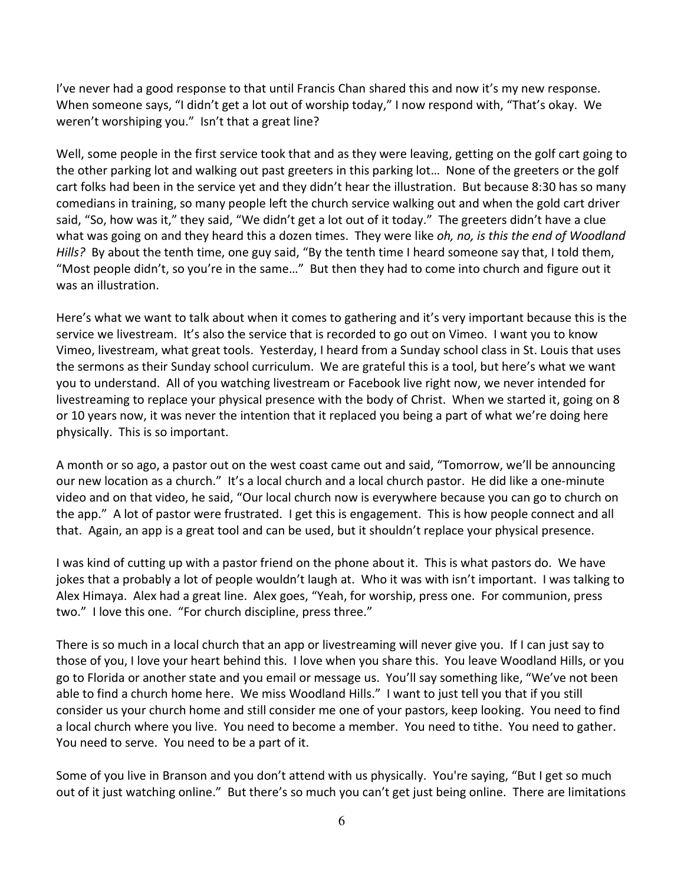I've never had a good response to that until Francis Chan shared this and now it's my new response. When someone says, "I didn't get a lot out of worship today," I now respond with, "That's okay. We weren't worshiping you." Isn't that a great line?

Well, some people in the first service took that and as they were leaving, getting on the golf cart going to the other parking lot and walking out past greeters in this parking lot… None of the greeters or the golf cart folks had been in the service yet and they didn't hear the illustration. But because 8:30 has so many comedians in training, so many people left the church service walking out and when the gold cart driver said, "So, how was it," they said, "We didn't get a lot out of it today." The greeters didn't have a clue what was going on and they heard this a dozen times. They were like *oh, no, is this the end of Woodland Hills?* By about the tenth time, one guy said, "By the tenth time I heard someone say that, I told them, "Most people didn't, so you're in the same…" But then they had to come into church and figure out it was an illustration.

Here's what we want to talk about when it comes to gathering and it's very important because this is the service we livestream. It's also the service that is recorded to go out on Vimeo. I want you to know Vimeo, livestream, what great tools. Yesterday, I heard from a Sunday school class in St. Louis that uses the sermons as their Sunday school curriculum. We are grateful this is a tool, but here's what we want you to understand. All of you watching livestream or Facebook live right now, we never intended for livestreaming to replace your physical presence with the body of Christ. When we started it, going on 8 or 10 years now, it was never the intention that it replaced you being a part of what we're doing here physically. This is so important.

A month or so ago, a pastor out on the west coast came out and said, "Tomorrow, we'll be announcing our new location as a church." It's a local church and a local church pastor. He did like a one-minute video and on that video, he said, "Our local church now is everywhere because you can go to church on the app." A lot of pastor were frustrated. I get this is engagement. This is how people connect and all that. Again, an app is a great tool and can be used, but it shouldn't replace your physical presence.

I was kind of cutting up with a pastor friend on the phone about it. This is what pastors do. We have jokes that a probably a lot of people wouldn't laugh at. Who it was with isn't important. I was talking to Alex Himaya. Alex had a great line. Alex goes, "Yeah, for worship, press one. For communion, press two." I love this one. "For church discipline, press three."

There is so much in a local church that an app or livestreaming will never give you. If I can just say to those of you, I love your heart behind this. I love when you share this. You leave Woodland Hills, or you go to Florida or another state and you email or message us. You'll say something like, "We've not been able to find a church home here. We miss Woodland Hills." I want to just tell you that if you still consider us your church home and still consider me one of your pastors, keep looking. You need to find a local church where you live. You need to become a member. You need to tithe. You need to gather. You need to serve. You need to be a part of it.

Some of you live in Branson and you don't attend with us physically. You're saying, "But I get so much out of it just watching online." But there's so much you can't get just being online. There are limitations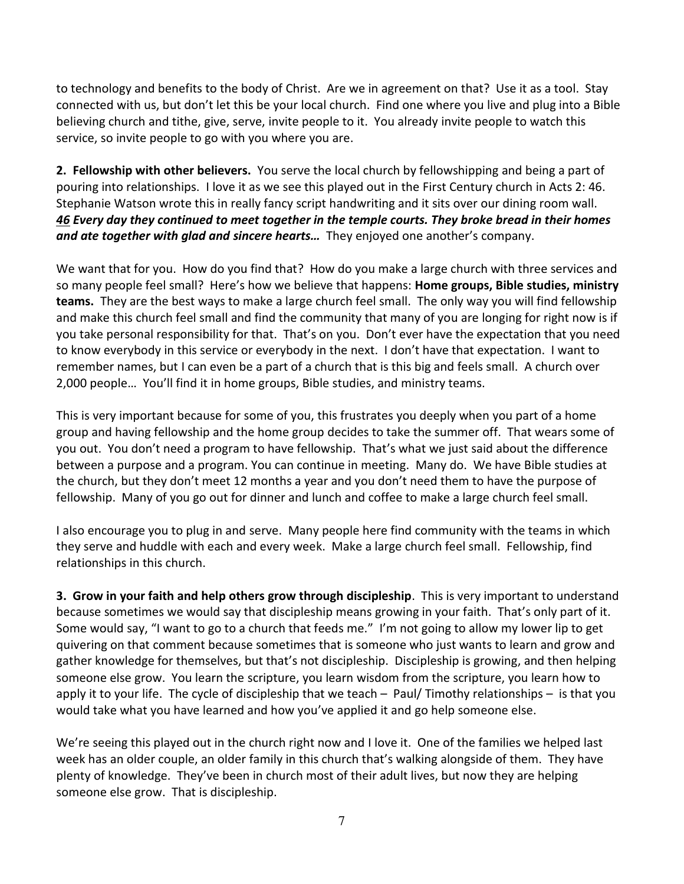to technology and benefits to the body of Christ. Are we in agreement on that? Use it as a tool. Stay connected with us, but don't let this be your local church. Find one where you live and plug into a Bible believing church and tithe, give, serve, invite people to it. You already invite people to watch this service, so invite people to go with you where you are.

**2. Fellowship with other believers.** You serve the local church by fellowshipping and being a part of pouring into relationships. I love it as we see this played out in the First Century church in Acts 2: 46. Stephanie Watson wrote this in really fancy script handwriting and it sits over our dining room wall. *[46](https://www.studylight.org/desk/?q=ac%202:46&t1=en_niv&sr=1) Every day they continued to meet together in the temple courts. They broke bread in their homes and ate together with glad and sincere hearts…* They enjoyed one another's company.

We want that for you. How do you find that? How do you make a large church with three services and so many people feel small? Here's how we believe that happens: **Home groups, Bible studies, ministry teams.** They are the best ways to make a large church feel small. The only way you will find fellowship and make this church feel small and find the community that many of you are longing for right now is if you take personal responsibility for that. That's on you. Don't ever have the expectation that you need to know everybody in this service or everybody in the next. I don't have that expectation. I want to remember names, but I can even be a part of a church that is this big and feels small. A church over 2,000 people… You'll find it in home groups, Bible studies, and ministry teams.

This is very important because for some of you, this frustrates you deeply when you part of a home group and having fellowship and the home group decides to take the summer off. That wears some of you out. You don't need a program to have fellowship. That's what we just said about the difference between a purpose and a program. You can continue in meeting. Many do. We have Bible studies at the church, but they don't meet 12 months a year and you don't need them to have the purpose of fellowship. Many of you go out for dinner and lunch and coffee to make a large church feel small.

I also encourage you to plug in and serve. Many people here find community with the teams in which they serve and huddle with each and every week. Make a large church feel small. Fellowship, find relationships in this church.

**3. Grow in your faith and help others grow through discipleship**. This is very important to understand because sometimes we would say that discipleship means growing in your faith. That's only part of it. Some would say, "I want to go to a church that feeds me." I'm not going to allow my lower lip to get quivering on that comment because sometimes that is someone who just wants to learn and grow and gather knowledge for themselves, but that's not discipleship. Discipleship is growing, and then helping someone else grow. You learn the scripture, you learn wisdom from the scripture, you learn how to apply it to your life. The cycle of discipleship that we teach – Paul/ Timothy relationships – is that you would take what you have learned and how you've applied it and go help someone else.

We're seeing this played out in the church right now and I love it. One of the families we helped last week has an older couple, an older family in this church that's walking alongside of them. They have plenty of knowledge. They've been in church most of their adult lives, but now they are helping someone else grow. That is discipleship.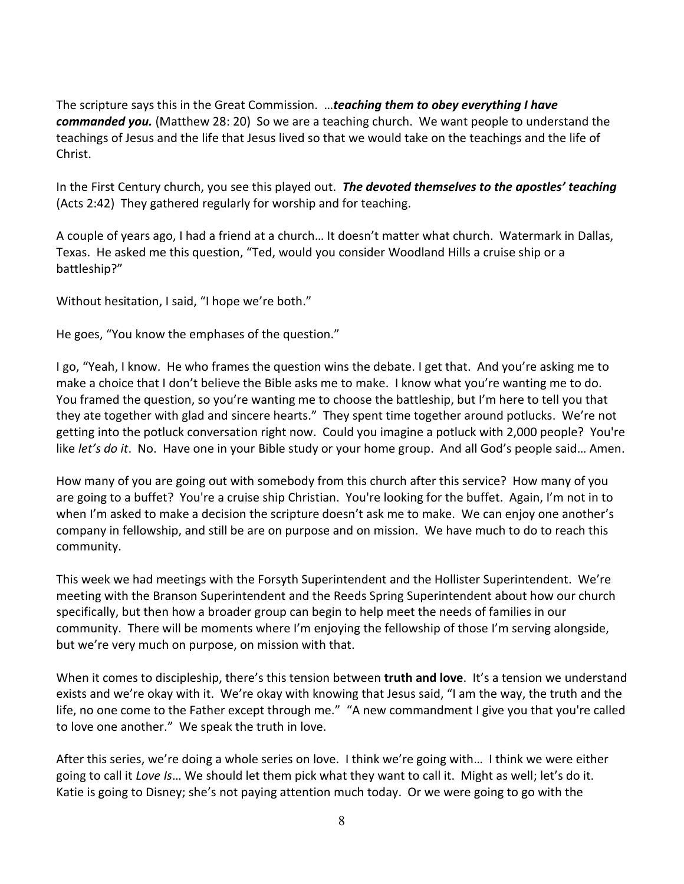The scripture says this in the Great Commission. …*teaching them to obey everything I have commanded you.* (Matthew 28: 20) So we are a teaching church. We want people to understand the teachings of Jesus and the life that Jesus lived so that we would take on the teachings and the life of Christ.

In the First Century church, you see this played out. *The devoted themselves to the apostles' teaching* (Acts 2:42) They gathered regularly for worship and for teaching.

A couple of years ago, I had a friend at a church… It doesn't matter what church. Watermark in Dallas, Texas. He asked me this question, "Ted, would you consider Woodland Hills a cruise ship or a battleship?"

Without hesitation, I said, "I hope we're both."

He goes, "You know the emphases of the question."

I go, "Yeah, I know. He who frames the question wins the debate. I get that. And you're asking me to make a choice that I don't believe the Bible asks me to make. I know what you're wanting me to do. You framed the question, so you're wanting me to choose the battleship, but I'm here to tell you that they ate together with glad and sincere hearts." They spent time together around potlucks. We're not getting into the potluck conversation right now. Could you imagine a potluck with 2,000 people? You're like *let's do it*. No. Have one in your Bible study or your home group. And all God's people said… Amen.

How many of you are going out with somebody from this church after this service? How many of you are going to a buffet? You're a cruise ship Christian. You're looking for the buffet. Again, I'm not in to when I'm asked to make a decision the scripture doesn't ask me to make. We can enjoy one another's company in fellowship, and still be are on purpose and on mission. We have much to do to reach this community.

This week we had meetings with the Forsyth Superintendent and the Hollister Superintendent. We're meeting with the Branson Superintendent and the Reeds Spring Superintendent about how our church specifically, but then how a broader group can begin to help meet the needs of families in our community. There will be moments where I'm enjoying the fellowship of those I'm serving alongside, but we're very much on purpose, on mission with that.

When it comes to discipleship, there's this tension between **truth and love**. It's a tension we understand exists and we're okay with it. We're okay with knowing that Jesus said, "I am the way, the truth and the life, no one come to the Father except through me." "A new commandment I give you that you're called to love one another." We speak the truth in love.

After this series, we're doing a whole series on love. I think we're going with… I think we were either going to call it *Love Is*… We should let them pick what they want to call it. Might as well; let's do it. Katie is going to Disney; she's not paying attention much today. Or we were going to go with the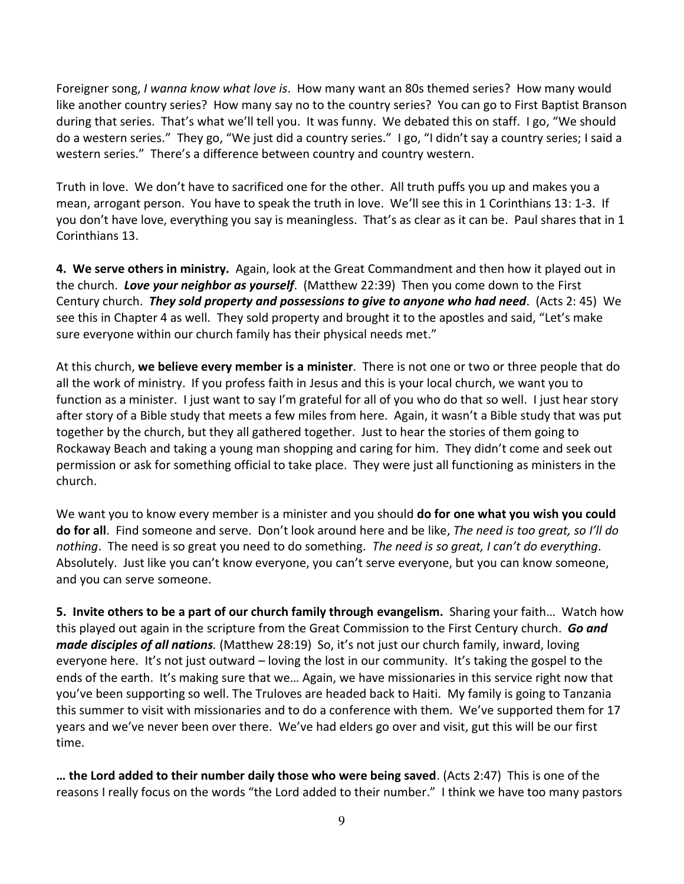Foreigner song, *I wanna know what love is*. How many want an 80s themed series? How many would like another country series? How many say no to the country series? You can go to First Baptist Branson during that series. That's what we'll tell you. It was funny. We debated this on staff. I go, "We should do a western series." They go, "We just did a country series." I go, "I didn't say a country series; I said a western series." There's a difference between country and country western.

Truth in love. We don't have to sacrificed one for the other. All truth puffs you up and makes you a mean, arrogant person. You have to speak the truth in love. We'll see this in 1 Corinthians 13: 1-3. If you don't have love, everything you say is meaningless. That's as clear as it can be. Paul shares that in 1 Corinthians 13.

**4. We serve others in ministry.** Again, look at the Great Commandment and then how it played out in the church. *Love your neighbor as yourself*. (Matthew 22:39) Then you come down to the First Century church. *They sold property and possessions to give to anyone who had need*. (Acts 2: 45) We see this in Chapter 4 as well. They sold property and brought it to the apostles and said, "Let's make sure everyone within our church family has their physical needs met."

At this church, **we believe every member is a minister**. There is not one or two or three people that do all the work of ministry. If you profess faith in Jesus and this is your local church, we want you to function as a minister. I just want to say I'm grateful for all of you who do that so well. I just hear story after story of a Bible study that meets a few miles from here. Again, it wasn't a Bible study that was put together by the church, but they all gathered together. Just to hear the stories of them going to Rockaway Beach and taking a young man shopping and caring for him. They didn't come and seek out permission or ask for something official to take place. They were just all functioning as ministers in the church.

We want you to know every member is a minister and you should **do for one what you wish you could do for all**. Find someone and serve. Don't look around here and be like, *The need is too great, so I'll do nothing*. The need is so great you need to do something. *The need is so great, I can't do everything*. Absolutely. Just like you can't know everyone, you can't serve everyone, but you can know someone, and you can serve someone.

**5. Invite others to be a part of our church family through evangelism.** Sharing your faith… Watch how this played out again in the scripture from the Great Commission to the First Century church. *Go and made disciples of all nations.* (Matthew 28:19) So, it's not just our church family, inward, loving everyone here. It's not just outward – loving the lost in our community. It's taking the gospel to the ends of the earth. It's making sure that we… Again, we have missionaries in this service right now that you've been supporting so well. The Truloves are headed back to Haiti. My family is going to Tanzania this summer to visit with missionaries and to do a conference with them. We've supported them for 17 years and we've never been over there. We've had elders go over and visit, gut this will be our first time.

**… the Lord added to their number daily those who were being saved**. (Acts 2:47) This is one of the reasons I really focus on the words "the Lord added to their number." I think we have too many pastors